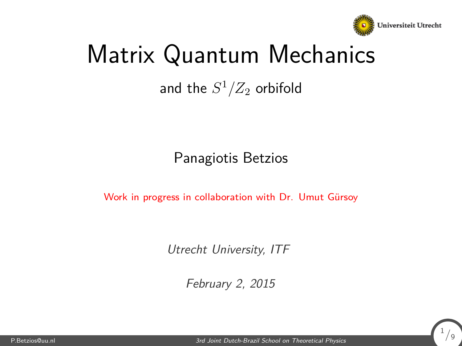

1 */*9

# <span id="page-0-0"></span>Matrix Quantum Mechanics

#### and the  $S^1/Z_2$  orbifold

#### Panagiotis Betzios

Work in progress in collaboration with Dr. Umut Gürsoy

Utrecht University, ITF

February 2, 2015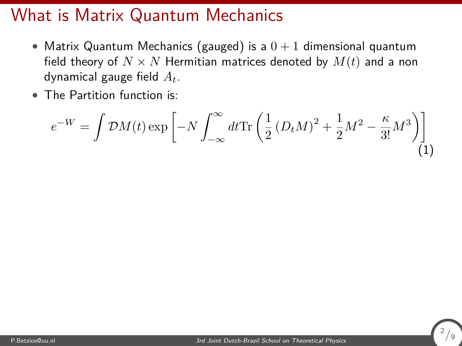#### What is Matrix Quantum Mechanics

- Matrix Quantum Mechanics (gauged) is a  $0+1$  dimensional quantum field theory of  $N \times N$  Hermitian matrices denoted by  $M(t)$  and a non dynamical gauge field *At*.
- The Partition function is:

$$
e^{-W} = \int \mathcal{D}M(t) \exp\left[-N \int_{-\infty}^{\infty} dt \text{Tr}\left(\frac{1}{2} \left(D_t M\right)^2 + \frac{1}{2} M^2 - \frac{\kappa}{3!} M^3\right)\right]
$$
(1)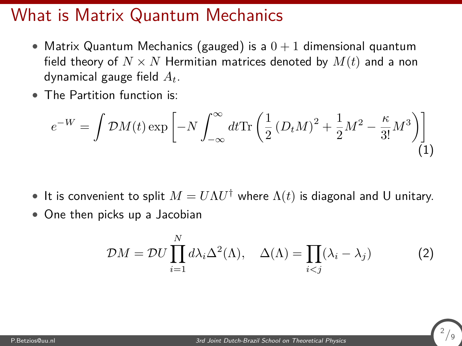#### What is Matrix Quantum Mechanics

- Matrix Quantum Mechanics (gauged) is a  $0+1$  dimensional quantum field theory of  $N \times N$  Hermitian matrices denoted by  $M(t)$  and a non dynamical gauge field *At*.
- The Partition function is:

$$
e^{-W} = \int \mathcal{D}M(t) \exp\left[-N \int_{-\infty}^{\infty} dt \text{Tr}\left(\frac{1}{2} \left(D_t M\right)^2 + \frac{1}{2} M^2 - \frac{\kappa}{3!} M^3\right)\right]
$$
\n(1)

- $\bullet$  It is convenient to split  $M = U \Lambda U^\dagger$  where  $\Lambda(t)$  is diagonal and U unitary.
- One then picks up a Jacobian

$$
\mathcal{D}M = \mathcal{D}U \prod_{i=1}^{N} d\lambda_i \Delta^2(\Lambda), \quad \Delta(\Lambda) = \prod_{i < j} (\lambda_i - \lambda_j) \tag{2}
$$

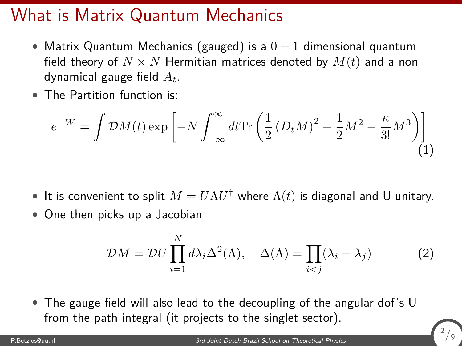#### What is Matrix Quantum Mechanics

- Matrix Quantum Mechanics (gauged) is a  $0+1$  dimensional quantum field theory of  $N \times N$  Hermitian matrices denoted by  $M(t)$  and a non dynamical gauge field *At*.
- The Partition function is:

$$
e^{-W} = \int \mathcal{D}M(t) \exp\left[-N \int_{-\infty}^{\infty} dt \text{Tr}\left(\frac{1}{2} \left(D_t M\right)^2 + \frac{1}{2} M^2 - \frac{\kappa}{3!} M^3\right)\right]
$$
(1)

- $\bullet$  It is convenient to split  $M = U \Lambda U^\dagger$  where  $\Lambda(t)$  is diagonal and U unitary.
- One then picks up a Jacobian

$$
\mathcal{D}M = \mathcal{D}U \prod_{i=1}^{N} d\lambda_i \Delta^2(\Lambda), \quad \Delta(\Lambda) = \prod_{i < j} (\lambda_i - \lambda_j) \tag{2}
$$

• The gauge field will also lead to the decoupling of the angular dof's U from the path integral (it projects to the singlet sector).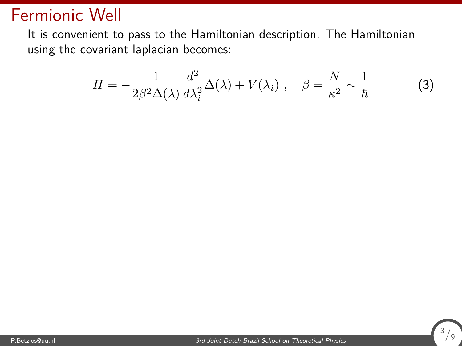#### Fermionic Well

It is convenient to pass to the Hamiltonian description. The Hamiltonian using the covariant laplacian becomes:

$$
H = -\frac{1}{2\beta^2 \Delta(\lambda)} \frac{d^2}{d\lambda_i^2} \Delta(\lambda) + V(\lambda_i) , \quad \beta = \frac{N}{\kappa^2} \sim \frac{1}{\hbar}
$$
 (3)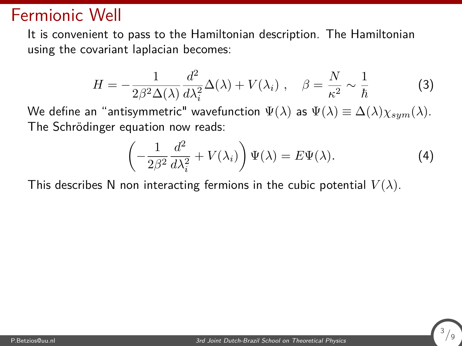#### Fermionic Well

It is convenient to pass to the Hamiltonian description. The Hamiltonian using the covariant laplacian becomes:

$$
H = -\frac{1}{2\beta^2 \Delta(\lambda)} \frac{d^2}{d\lambda_i^2} \Delta(\lambda) + V(\lambda_i) , \quad \beta = \frac{N}{\kappa^2} \sim \frac{1}{\hbar}
$$
 (3)

We define an "antisymmetric" wavefunction  $\Psi(\lambda)$  as  $\Psi(\lambda) \equiv \Delta(\lambda) \chi_{sum}(\lambda)$ . The Schrödinger equation now reads:

$$
\left(-\frac{1}{2\beta^2}\frac{d^2}{d\lambda_i^2} + V(\lambda_i)\right)\Psi(\lambda) = E\Psi(\lambda).
$$
\n(4)

This describes N non interacting fermions in the cubic potential  $V(\lambda)$ .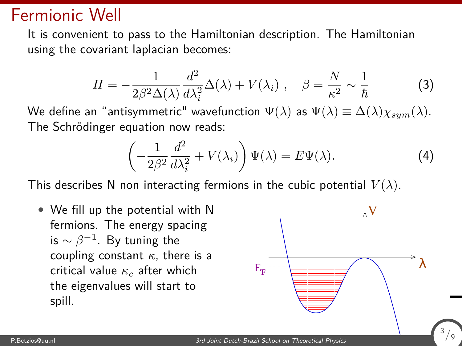#### Fermionic Well

It is convenient to pass to the Hamiltonian description. The Hamiltonian using the covariant laplacian becomes:

$$
H = -\frac{1}{2\beta^2 \Delta(\lambda)} \frac{d^2}{d\lambda_i^2} \Delta(\lambda) + V(\lambda_i) , \quad \beta = \frac{N}{\kappa^2} \sim \frac{1}{\hbar}
$$
 (3)

We define an "antisymmetric" wavefunction  $\Psi(\lambda)$  as  $\Psi(\lambda) \equiv \Delta(\lambda) \chi_{sym}(\lambda)$ . The Schrödinger equation now reads:

$$
\left(-\frac{1}{2\beta^2}\frac{d^2}{d\lambda_i^2} + V(\lambda_i)\right)\Psi(\lambda) = E\Psi(\lambda).
$$
\n(4)

This describes N non interacting fermions in the cubic potential  $V(\lambda)$ .

• We fill up the potential with N fermions. The energy spacing is  $\sim \beta^{-1}.$  By tuning the coupling constant *κ*, there is a critical value *κ<sup>c</sup>* after which the eigenvalues will start to spill.

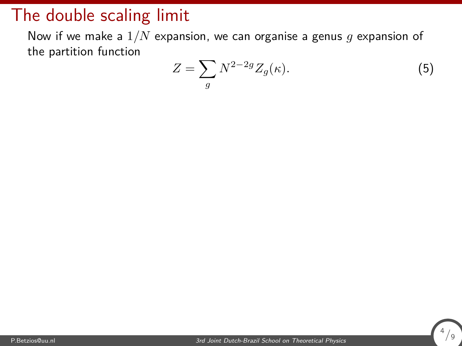Now if we make a 1*/N* expansion, we can organise a genus *g* expansion of the partition function

$$
Z = \sum_{g} N^{2-2g} Z_g(\kappa). \tag{5}
$$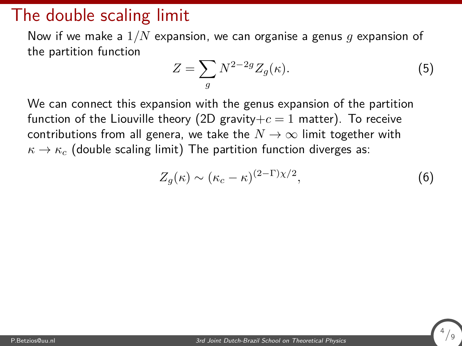Now if we make a 1*/N* expansion, we can organise a genus *g* expansion of the partition function

$$
Z = \sum_{g} N^{2-2g} Z_g(\kappa). \tag{5}
$$

We can connect this expansion with the genus expansion of the partition function of the Liouville theory (2D gravity $+c=1$  matter). To receive contributions from all genera, we take the  $N \to \infty$  limit together with  $\kappa \rightarrow \kappa_c$  (double scaling limit) The partition function diverges as:

$$
Z_g(\kappa) \sim (\kappa_c - \kappa)^{(2-\Gamma)\chi/2},\tag{6}
$$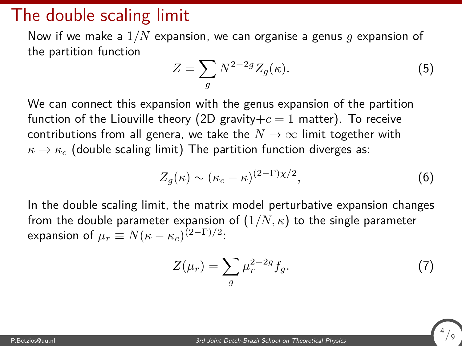Now if we make a 1*/N* expansion, we can organise a genus *g* expansion of the partition function

$$
Z = \sum_{g} N^{2-2g} Z_g(\kappa). \tag{5}
$$

We can connect this expansion with the genus expansion of the partition function of the Liouville theory (2D gravity $+c=1$  matter). To receive contributions from all genera, we take the  $N \to \infty$  limit together with  $\kappa \rightarrow \kappa_c$  (double scaling limit) The partition function diverges as:

$$
Z_g(\kappa) \sim (\kappa_c - \kappa)^{(2-\Gamma)\chi/2},\tag{6}
$$

In the double scaling limit, the matrix model perturbative expansion changes from the double parameter expansion of  $(1/N, \kappa)$  to the single parameter expansion of  $\mu_r \equiv N(\kappa - \kappa_c)^{(2-\Gamma)/2}$ :

$$
Z(\mu_r) = \sum_g \mu_r^{2-2g} f_g. \tag{7}
$$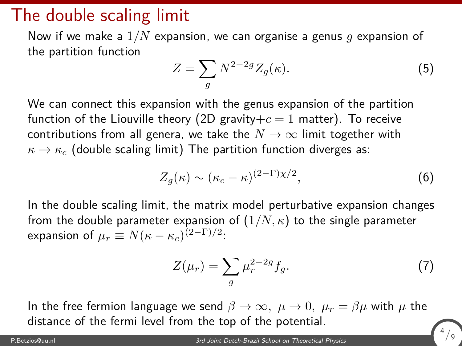Now if we make a 1*/N* expansion, we can organise a genus *g* expansion of the partition function

$$
Z = \sum_{g} N^{2-2g} Z_g(\kappa). \tag{5}
$$

We can connect this expansion with the genus expansion of the partition function of the Liouville theory (2D gravity $+c=1$  matter). To receive contributions from all genera, we take the  $N \to \infty$  limit together with  $\kappa \rightarrow \kappa_c$  (double scaling limit) The partition function diverges as:

$$
Z_g(\kappa) \sim (\kappa_c - \kappa)^{(2-\Gamma)\chi/2},\tag{6}
$$

In the double scaling limit, the matrix model perturbative expansion changes from the double parameter expansion of  $(1/N, \kappa)$  to the single parameter expansion of  $\mu_r \equiv N(\kappa - \kappa_c)^{(2-\Gamma)/2}$ :

$$
Z(\mu_r) = \sum_g \mu_r^{2-2g} f_g. \tag{7}
$$

4 */*9

In the free fermion language we send  $\beta \to \infty$ ,  $\mu \to 0$ ,  $\mu_r = \beta \mu$  with  $\mu$  the distance of the fermi level from the top of the potential.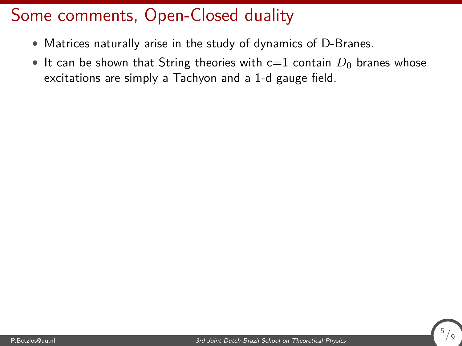- Matrices naturally arise in the study of dynamics of D-Branes.
- It can be shown that String theories with  $c=1$  contain  $D_0$  branes whose excitations are simply a Tachyon and a 1-d gauge field.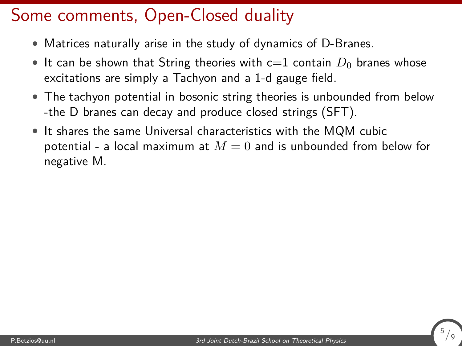- Matrices naturally arise in the study of dynamics of D-Branes.
- It can be shown that String theories with  $c=1$  contain  $D_0$  branes whose excitations are simply a Tachyon and a 1-d gauge field.
- The tachyon potential in bosonic string theories is unbounded from below -the D branes can decay and produce closed strings (SFT).
- It shares the same Universal characteristics with the MQM cubic potential - a local maximum at  $M = 0$  and is unbounded from below for negative M.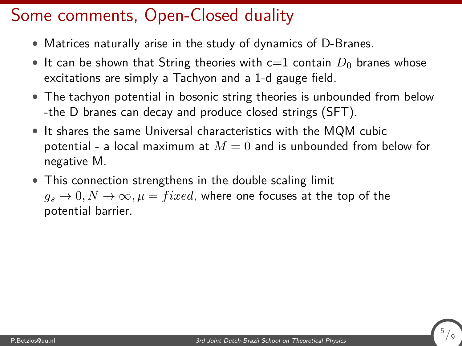- Matrices naturally arise in the study of dynamics of D-Branes.
- It can be shown that String theories with  $c=1$  contain  $D_0$  branes whose excitations are simply a Tachyon and a 1-d gauge field.
- The tachyon potential in bosonic string theories is unbounded from below -the D branes can decay and produce closed strings (SFT).
- It shares the same Universal characteristics with the MQM cubic potential - a local maximum at  $M = 0$  and is unbounded from below for negative M.
- This connection strengthens in the double scaling limit  $g_s \to 0, N \to \infty, \mu = fixed$ , where one focuses at the top of the potential barrier.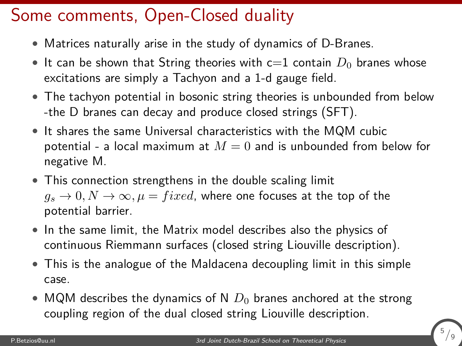- Matrices naturally arise in the study of dynamics of D-Branes.
- It can be shown that String theories with  $c=1$  contain  $D_0$  branes whose excitations are simply a Tachyon and a 1-d gauge field.
- The tachyon potential in bosonic string theories is unbounded from below -the D branes can decay and produce closed strings (SFT).
- It shares the same Universal characteristics with the MQM cubic potential - a local maximum at  $M = 0$  and is unbounded from below for negative M.
- This connection strengthens in the double scaling limit  $q_s \rightarrow 0, N \rightarrow \infty, \mu = fixed$ , where one focuses at the top of the potential barrier.
- In the same limit, the Matrix model describes also the physics of continuous Riemmann surfaces (closed string Liouville description).
- This is the analogue of the Maldacena decoupling limit in this simple case.
- MQM describes the dynamics of N  $D_0$  branes anchored at the strong coupling region of the dual closed string Liouville description.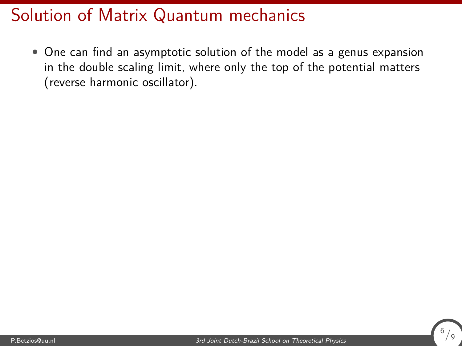#### Solution of Matrix Quantum mechanics

• One can find an asymptotic solution of the model as a genus expansion in the double scaling limit, where only the top of the potential matters (reverse harmonic oscillator).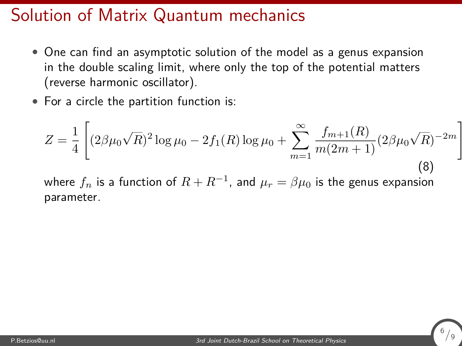#### Solution of Matrix Quantum mechanics

- One can find an asymptotic solution of the model as a genus expansion in the double scaling limit, where only the top of the potential matters (reverse harmonic oscillator).
- For a circle the partition function is:

$$
Z = \frac{1}{4} \left[ (2\beta\mu_0\sqrt{R})^2 \log \mu_0 - 2f_1(R) \log \mu_0 + \sum_{m=1}^{\infty} \frac{f_{m+1}(R)}{m(2m+1)} (2\beta\mu_0\sqrt{R})^{-2m} \right]
$$
(8)

where  $f_n$  is a function of  $R+R^{-1}$ , and  $\mu_r=\beta\mu_0$  is the genus expansion parameter.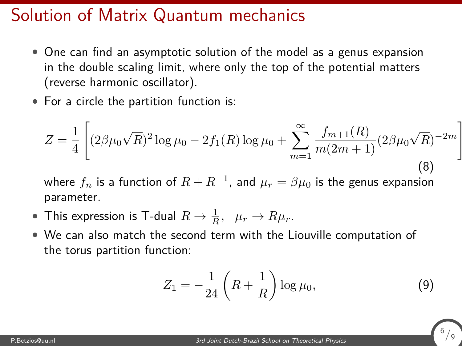#### Solution of Matrix Quantum mechanics

- One can find an asymptotic solution of the model as a genus expansion in the double scaling limit, where only the top of the potential matters (reverse harmonic oscillator).
- For a circle the partition function is:

$$
Z = \frac{1}{4} \left[ (2\beta\mu_0\sqrt{R})^2 \log \mu_0 - 2f_1(R) \log \mu_0 + \sum_{m=1}^{\infty} \frac{f_{m+1}(R)}{m(2m+1)} (2\beta\mu_0\sqrt{R})^{-2m} \right]
$$
(8)

where  $f_n$  is a function of  $R+R^{-1}$ , and  $\mu_r=\beta\mu_0$  is the genus expansion parameter.

- This expression is T-dual  $R \to \frac{1}{R}$ ,  $\mu_r \to R\mu_r$ .
- We can also match the second term with the Liouville computation of the torus partition function:

$$
Z_1 = -\frac{1}{24} \left( R + \frac{1}{R} \right) \log \mu_0, \tag{9}
$$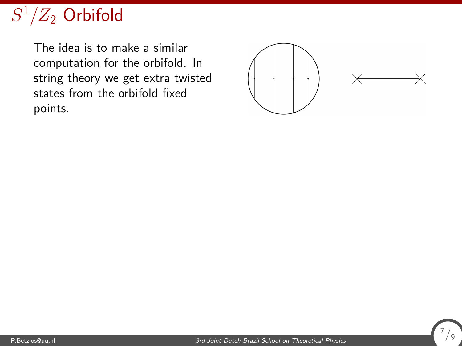## $S^1/Z_2$  Orbifold

The idea is to make a similar computation for the orbifold. In string theory we get extra twisted states from the orbifold fixed points.



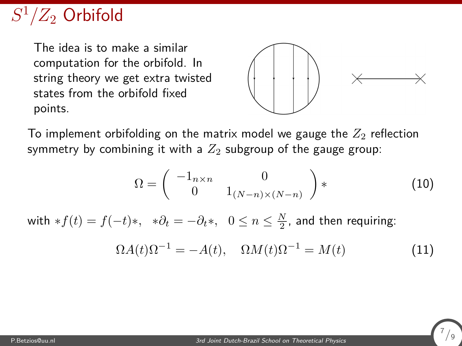### $S^1/Z_2$  Orbifold

The idea is to make a similar computation for the orbifold. In string theory we get extra twisted states from the orbifold fixed points.



7 */*9

To implement orbifolding on the matrix model we gauge the  $Z_2$  reflection symmetry by combining it with a  $Z_2$  subgroup of the gauge group:

$$
\Omega = \begin{pmatrix} -1_{n \times n} & 0 \\ 0 & 1_{(N-n) \times (N-n)} \end{pmatrix} * \tag{10}
$$

with  $*f(t) = f(-t)*$ ,  $*\partial_t = -\partial_t *$ ,  $0 \le n \le \frac{N}{2}$ , and then requiring:

$$
\Omega A(t)\Omega^{-1} = -A(t), \quad \Omega M(t)\Omega^{-1} = M(t) \tag{11}
$$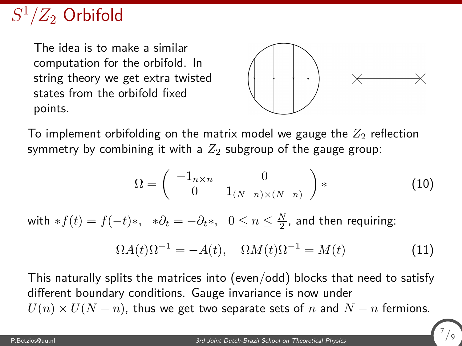## $S^1/Z_2$  Orbifold

The idea is to make a similar computation for the orbifold. In string theory we get extra twisted states from the orbifold fixed points.



7 */*9

To implement orbifolding on the matrix model we gauge the  $Z_2$  reflection symmetry by combining it with a  $Z_2$  subgroup of the gauge group:

$$
\Omega = \begin{pmatrix} -1_{n \times n} & 0 \\ 0 & 1_{(N-n) \times (N-n)} \end{pmatrix} * \tag{10}
$$

with  $*f(t) = f(-t)*$ ,  $*\partial_t = -\partial_t *$ ,  $0 \le n \le \frac{N}{2}$ , and then requiring:

$$
\Omega A(t)\Omega^{-1} = -A(t), \quad \Omega M(t)\Omega^{-1} = M(t) \tag{11}
$$

This naturally splits the matrices into (even/odd) blocks that need to satisfy different boundary conditions. Gauge invariance is now under  $U(n) \times U(N - n)$ , thus we get two separate sets of *n* and  $N - n$  fermions.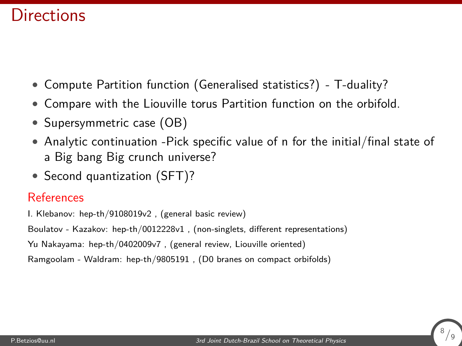#### **Directions**

- Compute Partition function (Generalised statistics?) T-duality?
- Compare with the Liouville torus Partition function on the orbifold.
- Supersymmetric case (OB)
- Analytic continuation -Pick specific value of n for the initial/final state of a Big bang Big crunch universe?
- Second quantization (SFT)?

#### **References**

I. Klebanov: hep-th/9108019v2 , (general basic review)

Boulatov - Kazakov: hep-th/0012228v1 , (non-singlets, different representations)

Yu Nakayama: hep-th/0402009v7 , (general review, Liouville oriented)

Ramgoolam - Waldram: hep-th/9805191 , (D0 branes on compact orbifolds)